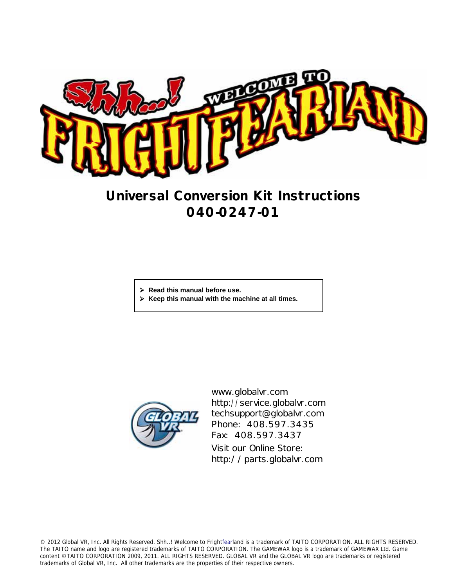

# **Universal Conversion Kit Instructions 040-0247-01**

- ¾ **Read this manual before use.**
- ¾ **Keep this manual with the machine at all times.**



www.globalvr.com http://service.globalvr.com techsupport@globalvr.com Phone: 408.597.3435 Fax: 408.597.3437 Visit our Online Store: http://parts.globalvr.com

© 2012 Global VR, Inc. All Rights Reserved. Shh..! Welcome to Frightfearland is a trademark of TAITO CORPORATION. ALL RIGHTS RESERVED. The TAITO name and logo are registered trademarks of TAITO CORPORATION. The GAMEWAX logo is a trademark of GAMEWAX Ltd. Game content ©TAITO CORPORATION 2009, 2011. ALL RIGHTS RESERVED. GLOBAL VR and the GLOBAL VR logo are trademarks or registered trademarks of Global VR, Inc. All other trademarks are the properties of their respective owners.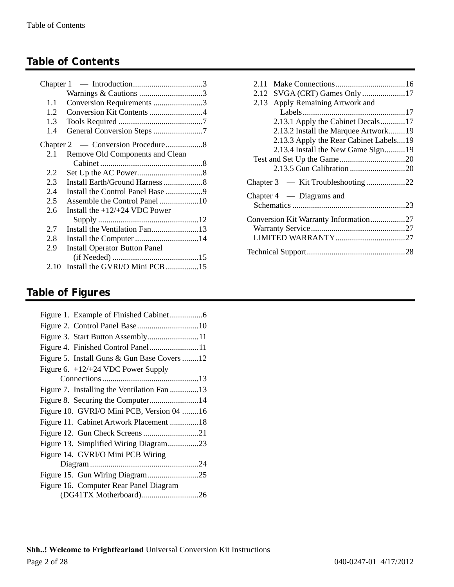## **Table of Contents**

|      | Warnings & Cautions 3                |
|------|--------------------------------------|
| 1.1  | Conversion Requirements 3            |
| 1.2  |                                      |
| 1.3  |                                      |
| 1.4  | General Conversion Steps 7           |
|      |                                      |
| 2.1  | Remove Old Components and Clean      |
|      |                                      |
| 2.2  |                                      |
| 2.3  | Install Earth/Ground Harness 8       |
| 2.4  |                                      |
| 2.5  |                                      |
| 2.6  | Install the $+12/+24$ VDC Power      |
|      |                                      |
| 2.7  |                                      |
| 2.8  | Install the Computer 14              |
| 2.9  | <b>Install Operator Button Panel</b> |
|      |                                      |
| 2.10 | Install the GVRI/O Mini PCB 15       |

| 2.11                                   |  |
|----------------------------------------|--|
| SVGA (CRT) Games Only 17<br>2.12       |  |
| Apply Remaining Artwork and<br>2.13    |  |
|                                        |  |
| 2.13.1 Apply the Cabinet Decals17      |  |
| 2.13.2 Install the Marquee Artwork19   |  |
| 2.13.3 Apply the Rear Cabinet Labels19 |  |
| 2.13.4 Install the New Game Sign19     |  |
|                                        |  |
|                                        |  |
|                                        |  |
| Chapter $4$ — Diagrams and             |  |
|                                        |  |
| Conversion Kit Warranty Information27  |  |
|                                        |  |
|                                        |  |
|                                        |  |

## **Table of Figures**

| Figure 3. Start Button Assembly11           |
|---------------------------------------------|
| Figure 4. Finished Control Panel11          |
| Figure 5. Install Guns & Gun Base Covers 12 |
| Figure 6. $+12/+24$ VDC Power Supply        |
|                                             |
| Figure 7. Installing the Ventilation Fan 13 |
| Figure 8. Securing the Computer14           |
| Figure 10. GVRI/O Mini PCB, Version 04 16   |
| Figure 11. Cabinet Artwork Placement 18     |
| Figure 12. Gun Check Screens21              |
| Figure 13. Simplified Wiring Diagram23      |
| Figure 14. GVRI/O Mini PCB Wiring           |
|                                             |
|                                             |
| Figure 16. Computer Rear Panel Diagram      |
| (DG41TX Motherboard)26                      |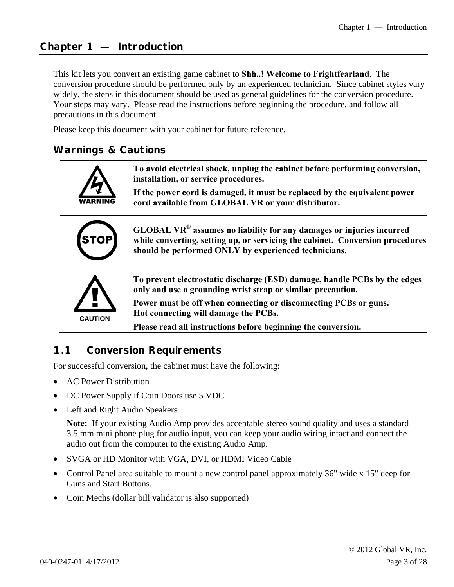#### **Chapter 1 — Introduction**

This kit lets you convert an existing game cabinet to **Shh..! Welcome to Frightfearland**. The conversion procedure should be performed only by an experienced technician. Since cabinet styles vary widely, the steps in this document should be used as general guidelines for the conversion procedure. Your steps may vary. Please read the instructions before beginning the procedure, and follow all precautions in this document.

Please keep this document with your cabinet for future reference.

#### **Warnings & Cautions**



**If the power cord is damaged, it must be replaced by the equivalent power cord available from GLOBAL VR or your distributor.** 



**GLOBAL VR® assumes no liability for any damages or injuries incurred while converting, setting up, or servicing the cabinet. Conversion procedures should be performed ONLY by experienced technicians.** 



**To prevent electrostatic discharge (ESD) damage, handle PCBs by the edges only and use a grounding wrist strap or similar precaution.** 

**Power must be off when connecting or disconnecting PCBs or guns. Hot connecting will damage the PCBs.** 

**Please read all instructions before beginning the conversion.** 

#### **1.1 Conversion Requirements**

For successful conversion, the cabinet must have the following:

- AC Power Distribution
- DC Power Supply if Coin Doors use 5 VDC
- Left and Right Audio Speakers

**Note:** If your existing Audio Amp provides acceptable stereo sound quality and uses a standard 3.5 mm mini phone plug for audio input, you can keep your audio wiring intact and connect the audio out from the computer to the existing Audio Amp.

- SVGA or HD Monitor with VGA, DVI, or HDMI Video Cable
- Control Panel area suitable to mount a new control panel approximately 36" wide x 15" deep for Guns and Start Buttons.
- Coin Mechs (dollar bill validator is also supported)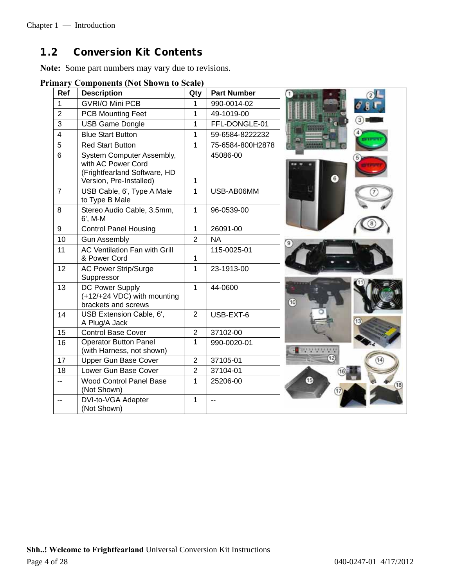## **1.2 Conversion Kit Contents**

**Note:** Some part numbers may vary due to revisions.

**Primary Components (Not Shown to Scale)** 

| Ref            | <b>Description</b>                                                                                         | Qty            | <b>Part Number</b> |
|----------------|------------------------------------------------------------------------------------------------------------|----------------|--------------------|
| 1              | <b>GVRI/O Mini PCB</b>                                                                                     | 1              | 990-0014-02        |
| $\overline{2}$ | <b>PCB Mounting Feet</b>                                                                                   | 1              | 49-1019-00         |
| 3              | <b>USB Game Dongle</b>                                                                                     | 1              | FFL-DONGLE-01      |
| $\overline{4}$ | <b>Blue Start Button</b>                                                                                   | 1              | 59-6584-8222232    |
| 5              | <b>Red Start Button</b>                                                                                    | 1              | 75-6584-800H2878   |
| 6              | System Computer Assembly,<br>with AC Power Cord<br>(Frightfearland Software, HD<br>Version, Pre-Installed) | 1              | 45086-00           |
| $\overline{7}$ | USB Cable, 6', Type A Male<br>to Type B Male                                                               | 1              | USB-AB06MM         |
| 8              | Stereo Audio Cable, 3.5mm,<br>6', M-M                                                                      | 1              | 96-0539-00         |
| 9              | <b>Control Panel Housing</b>                                                                               | 1              | 26091-00           |
| 10             | <b>Gun Assembly</b>                                                                                        | $\overline{2}$ | <b>NA</b>          |
| 11             | <b>AC Ventilation Fan with Grill</b><br>& Power Cord                                                       | 1              | 115-0025-01        |
| 12             | <b>AC Power Strip/Surge</b><br>Suppressor                                                                  | 1              | 23-1913-00         |
| 13             | DC Power Supply<br>(+12/+24 VDC) with mounting<br>brackets and screws                                      | 1              | 44-0600            |
| 14             | USB Extension Cable, 6',<br>A Plug/A Jack                                                                  | $\overline{2}$ | USB-EXT-6          |
| 15             | <b>Control Base Cover</b>                                                                                  | $\overline{2}$ | 37102-00           |
| 16             | <b>Operator Button Panel</b><br>(with Harness, not shown)                                                  | 1              | 990-0020-01        |
| 17             | Upper Gun Base Cover                                                                                       | $\overline{2}$ | 37105-01           |
| 18             | Lower Gun Base Cover                                                                                       | $\overline{2}$ | 37104-01           |
| $\overline{a}$ | <b>Wood Control Panel Base</b><br>(Not Shown)                                                              | 1              | 25206-00           |
| --             | DVI-to-VGA Adapter<br>(Not Shown)                                                                          | 1              | --                 |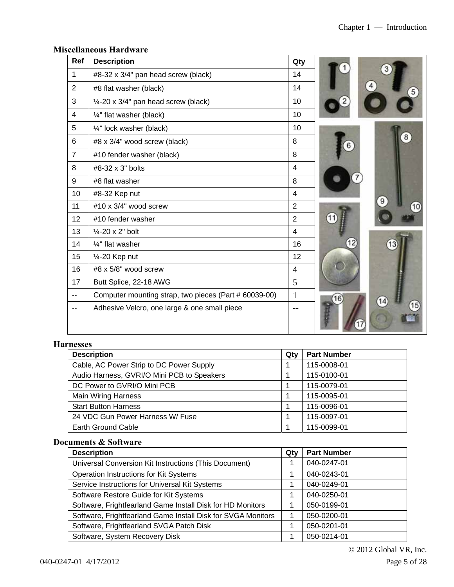| Ref            | <b>Description</b>                                    | Qty            |  |
|----------------|-------------------------------------------------------|----------------|--|
| $\mathbf{1}$   | #8-32 x 3/4" pan head screw (black)                   | 14             |  |
| $\overline{2}$ | #8 flat washer (black)                                | 14             |  |
| 3              | $\frac{1}{4}$ -20 x 3/4" pan head screw (black)       | 10             |  |
| $\overline{4}$ | 1/4" flat washer (black)                              | 10             |  |
| 5              | 1/4" lock washer (black)                              | 10             |  |
| 6              | #8 x 3/4" wood screw (black)                          | 8              |  |
| $\overline{7}$ | #10 fender washer (black)                             | 8              |  |
| 8              | #8-32 x 3" bolts                                      | $\overline{4}$ |  |
| 9              | #8 flat washer                                        | 8              |  |
| 10             | #8-32 Kep nut                                         | $\overline{4}$ |  |
| 11             | #10 x 3/4" wood screw                                 | $\overline{2}$ |  |
| 12             | #10 fender washer                                     | $\overline{2}$ |  |
| 13             | $\frac{1}{4}$ -20 x 2" bolt                           | $\overline{4}$ |  |
| 14             | 1/4" flat washer                                      | 16             |  |
| 15             | 1⁄4-20 Kep nut                                        | 12             |  |
| 16             | #8 x 5/8" wood screw                                  | $\overline{4}$ |  |
| 17             | Butt Splice, 22-18 AWG                                | 5              |  |
| $-$            | Computer mounting strap, two pieces (Part # 60039-00) | $\mathbf{1}$   |  |
|                | Adhesive Velcro, one large & one small piece          | $ -$           |  |

#### **Miscellaneous Hardware**

#### **Harnesses**

| <b>Description</b>                         | Qty | <b>Part Number</b> |
|--------------------------------------------|-----|--------------------|
| Cable, AC Power Strip to DC Power Supply   |     | 115-0008-01        |
| Audio Harness, GVRI/O Mini PCB to Speakers |     | 115-0100-01        |
| DC Power to GVRI/O Mini PCB                |     | 115-0079-01        |
| <b>Main Wiring Harness</b>                 |     | 115-0095-01        |
| <b>Start Button Harness</b>                |     | 115-0096-01        |
| 24 VDC Gun Power Harness W/ Fuse           |     | 115-0097-01        |
| <b>Earth Ground Cable</b>                  |     | 115-0099-01        |

#### **Documents & Software**

| <b>Description</b>                                           | Qty | <b>Part Number</b> |
|--------------------------------------------------------------|-----|--------------------|
| Universal Conversion Kit Instructions (This Document)        |     | 040-0247-01        |
| Operation Instructions for Kit Systems                       |     | 040-0243-01        |
| Service Instructions for Universal Kit Systems               |     | 040-0249-01        |
| Software Restore Guide for Kit Systems                       |     | 040-0250-01        |
| Software, Frightfearland Game Install Disk for HD Monitors   |     | 050-0199-01        |
| Software, Frightfearland Game Install Disk for SVGA Monitors |     | 050-0200-01        |
| Software, Frightfearland SVGA Patch Disk                     |     | 050-0201-01        |
| Software, System Recovery Disk                               |     | 050-0214-01        |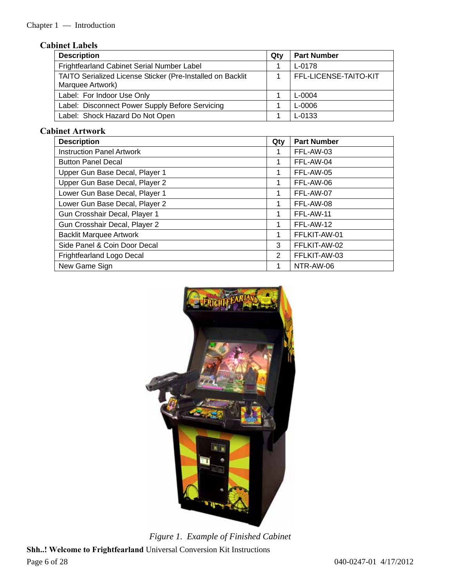## **Cabinet Labels**

| <b>Description</b>                                                                    | Qtv | <b>Part Number</b>    |
|---------------------------------------------------------------------------------------|-----|-----------------------|
| Frightfearland Cabinet Serial Number Label                                            |     | L-0178                |
| <b>TAITO Serialized License Sticker (Pre-Installed on Backlit</b><br>Marquee Artwork) |     | FFL-LICENSE-TAITO-KIT |
| Label: For Indoor Use Only                                                            |     | L-0004                |
| Label: Disconnect Power Supply Before Servicing                                       |     | L-0006                |
| Label: Shock Hazard Do Not Open                                                       |     | L-0133                |

### **Cabinet Artwork**

| <b>Description</b>               | Qty | <b>Part Number</b> |
|----------------------------------|-----|--------------------|
| <b>Instruction Panel Artwork</b> |     | FFL-AW-03          |
| <b>Button Panel Decal</b>        | 1   | FFL-AW-04          |
| Upper Gun Base Decal, Player 1   | 1   | FFL-AW-05          |
| Upper Gun Base Decal, Player 2   |     | FFL-AW-06          |
| Lower Gun Base Decal, Player 1   |     | FFL-AW-07          |
| Lower Gun Base Decal, Player 2   | 1   | FFL-AW-08          |
| Gun Crosshair Decal, Player 1    | 1   | FFL-AW-11          |
| Gun Crosshair Decal, Player 2    | 1   | FFL-AW-12          |
| <b>Backlit Marquee Artwork</b>   | 1   | FFLKIT-AW-01       |
| Side Panel & Coin Door Decal     | 3   | FFLKIT-AW-02       |
| Frightfearland Logo Decal        | 2   | FFLKIT-AW-03       |
| New Game Sign                    |     | NTR-AW-06          |



**Shh..! Welcome to Frightfearland** Universal Conversion Kit Instructions Page 6 of 28 040-0247-01 4/17/2012 *Figure 1. Example of Finished Cabinet*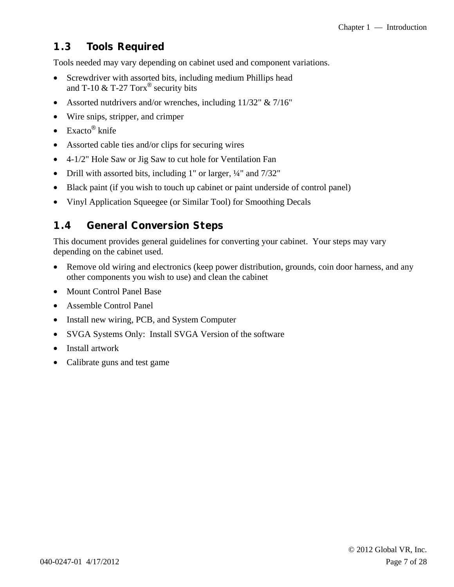## **1.3 Tools Required**

Tools needed may vary depending on cabinet used and component variations.

- Screwdriver with assorted bits, including medium Phillips head and T-10 & T-27 Torx<sup>®</sup> security bits
- Assorted nutdrivers and/or wrenches, including 11/32" & 7/16"
- Wire snips, stripper, and crimper
- Exacto<sup>®</sup> knife
- Assorted cable ties and/or clips for securing wires
- 4-1/2" Hole Saw or Jig Saw to cut hole for Ventilation Fan
- Drill with assorted bits, including 1" or larger,  $\frac{1}{4}$ " and  $\frac{7}{32}$ "
- Black paint (if you wish to touch up cabinet or paint underside of control panel)
- Vinyl Application Squeegee (or Similar Tool) for Smoothing Decals

## **1.4 General Conversion Steps**

This document provides general guidelines for converting your cabinet. Your steps may vary depending on the cabinet used.

- Remove old wiring and electronics (keep power distribution, grounds, coin door harness, and any other components you wish to use) and clean the cabinet
- Mount Control Panel Base
- Assemble Control Panel
- Install new wiring, PCB, and System Computer
- SVGA Systems Only: Install SVGA Version of the software
- Install artwork
- Calibrate guns and test game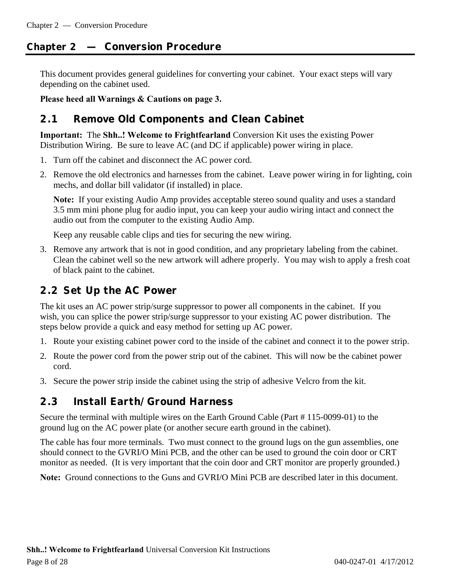## **Chapter 2 — Conversion Procedure**

This document provides general guidelines for converting your cabinet. Your exact steps will vary depending on the cabinet used.

**Please heed all Warnings & Cautions on page 3.** 

## **2.1 Remove Old Components and Clean Cabinet**

**Important:** The **Shh..! Welcome to Frightfearland** Conversion Kit uses the existing Power Distribution Wiring. Be sure to leave AC (and DC if applicable) power wiring in place.

- 1. Turn off the cabinet and disconnect the AC power cord.
- 2. Remove the old electronics and harnesses from the cabinet. Leave power wiring in for lighting, coin mechs, and dollar bill validator (if installed) in place.

**Note:** If your existing Audio Amp provides acceptable stereo sound quality and uses a standard 3.5 mm mini phone plug for audio input, you can keep your audio wiring intact and connect the audio out from the computer to the existing Audio Amp.

Keep any reusable cable clips and ties for securing the new wiring.

3. Remove any artwork that is not in good condition, and any proprietary labeling from the cabinet. Clean the cabinet well so the new artwork will adhere properly. You may wish to apply a fresh coat of black paint to the cabinet.

## **2.2 Set Up the AC Power**

The kit uses an AC power strip/surge suppressor to power all components in the cabinet. If you wish, you can splice the power strip/surge suppressor to your existing AC power distribution. The steps below provide a quick and easy method for setting up AC power.

- 1. Route your existing cabinet power cord to the inside of the cabinet and connect it to the power strip.
- 2. Route the power cord from the power strip out of the cabinet. This will now be the cabinet power cord.
- 3. Secure the power strip inside the cabinet using the strip of adhesive Velcro from the kit.

### **2.3 Install Earth/Ground Harness**

Secure the terminal with multiple wires on the Earth Ground Cable (Part # 115-0099-01) to the ground lug on the AC power plate (or another secure earth ground in the cabinet).

The cable has four more terminals. Two must connect to the ground lugs on the gun assemblies, one should connect to the GVRI/O Mini PCB, and the other can be used to ground the coin door or CRT monitor as needed. (It is very important that the coin door and CRT monitor are properly grounded.)

**Note:** Ground connections to the Guns and GVRI/O Mini PCB are described later in this document.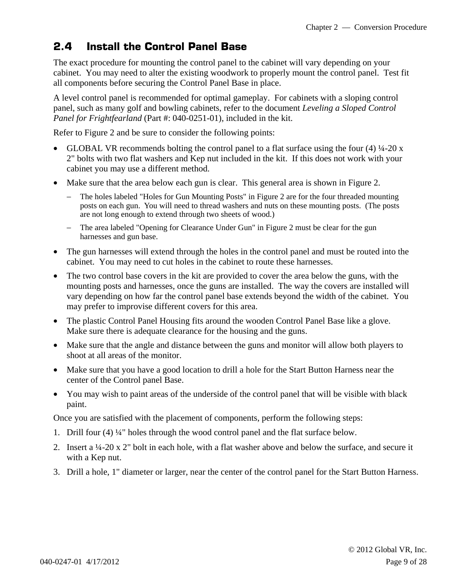## **2.4 Install the Control Panel Base**

The exact procedure for mounting the control panel to the cabinet will vary depending on your cabinet. You may need to alter the existing woodwork to properly mount the control panel. Test fit all components before securing the Control Panel Base in place.

A level control panel is recommended for optimal gameplay. For cabinets with a sloping control panel, such as many golf and bowling cabinets, refer to the document *Leveling a Sloped Control Panel for Frightfearland* (Part #: 040-0251-01), included in the kit.

Refer to Figure 2 and be sure to consider the following points:

- GLOBAL VR recommends bolting the control panel to a flat surface using the four (4)  $\frac{1}{4}$ -20 x 2" bolts with two flat washers and Kep nut included in the kit. If this does not work with your cabinet you may use a different method.
- Make sure that the area below each gun is clear. This general area is shown in Figure 2.
	- The holes labeled "Holes for Gun Mounting Posts" in Figure 2 are for the four threaded mounting posts on each gun. You will need to thread washers and nuts on these mounting posts. (The posts are not long enough to extend through two sheets of wood.)
	- − The area labeled "Opening for Clearance Under Gun" in Figure 2 must be clear for the gun harnesses and gun base.
- The gun harnesses will extend through the holes in the control panel and must be routed into the cabinet. You may need to cut holes in the cabinet to route these harnesses.
- The two control base covers in the kit are provided to cover the area below the guns, with the mounting posts and harnesses, once the guns are installed. The way the covers are installed will vary depending on how far the control panel base extends beyond the width of the cabinet. You may prefer to improvise different covers for this area.
- The plastic Control Panel Housing fits around the wooden Control Panel Base like a glove. Make sure there is adequate clearance for the housing and the guns.
- Make sure that the angle and distance between the guns and monitor will allow both players to shoot at all areas of the monitor.
- Make sure that you have a good location to drill a hole for the Start Button Harness near the center of the Control panel Base.
- You may wish to paint areas of the underside of the control panel that will be visible with black paint.

Once you are satisfied with the placement of components, perform the following steps:

- 1. Drill four (4) ¼" holes through the wood control panel and the flat surface below.
- 2. Insert a ¼-20 x 2" bolt in each hole, with a flat washer above and below the surface, and secure it with a Kep nut.
- 3. Drill a hole, 1" diameter or larger, near the center of the control panel for the Start Button Harness.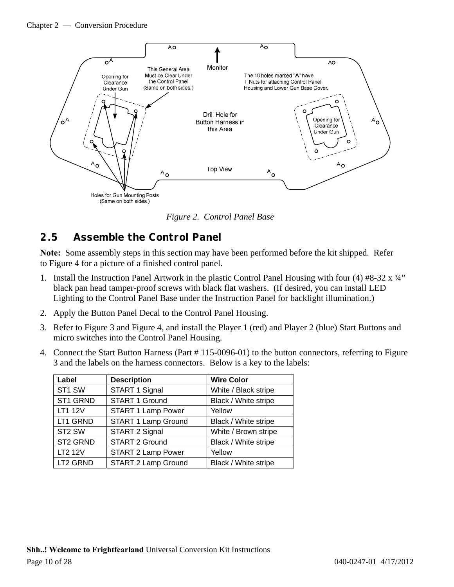#### Chapter 2 — Conversion Procedure



*Figure 2. Control Panel Base* 

## **2.5 Assemble the Control Panel**

**Note:** Some assembly steps in this section may have been performed before the kit shipped. Refer to Figure 4 for a picture of a finished control panel.

- 1. Install the Instruction Panel Artwork in the plastic Control Panel Housing with four (4) #8-32  $\frac{x}{4}$ " black pan head tamper-proof screws with black flat washers. (If desired, you can install LED Lighting to the Control Panel Base under the Instruction Panel for backlight illumination.)
- 2. Apply the Button Panel Decal to the Control Panel Housing.
- 3. Refer to Figure 3 and Figure 4, and install the Player 1 (red) and Player 2 (blue) Start Buttons and micro switches into the Control Panel Housing.
- 4. Connect the Start Button Harness (Part # 115-0096-01) to the button connectors, referring to Figure 3 and the labels on the harness connectors. Below is a key to the labels:

| Label              | <b>Description</b>         | <b>Wire Color</b>    |
|--------------------|----------------------------|----------------------|
| ST1 SW             | START 1 Signal             | White / Black stripe |
| ST1 GRND           | START 1 Ground             | Black / White stripe |
| LT1 12V            | <b>START 1 Lamp Power</b>  | Yellow               |
| LT1 GRND           | START 1 Lamp Ground        | Black / White stripe |
| ST <sub>2</sub> SW | START 2 Signal             | White / Brown stripe |
| ST2 GRND           | START 2 Ground             | Black / White stripe |
| LT2 12V            | <b>START 2 Lamp Power</b>  | Yellow               |
| LT2 GRND           | <b>START 2 Lamp Ground</b> | Black / White stripe |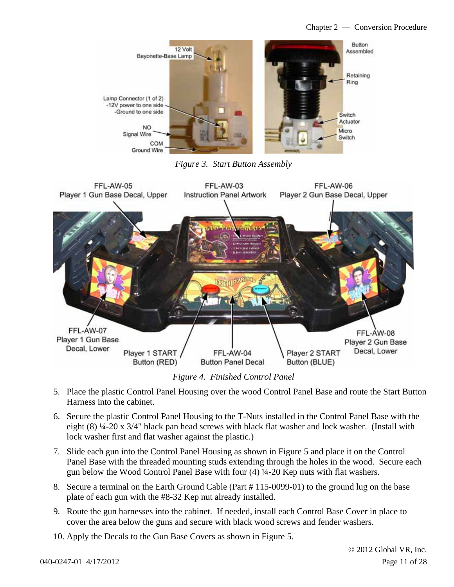

*Figure 3. Start Button Assembly* 



*Figure 4. Finished Control Panel* 

- 5. Place the plastic Control Panel Housing over the wood Control Panel Base and route the Start Button Harness into the cabinet.
- 6. Secure the plastic Control Panel Housing to the T-Nuts installed in the Control Panel Base with the eight (8) ¼-20 x 3/4" black pan head screws with black flat washer and lock washer. (Install with lock washer first and flat washer against the plastic.)
- 7. Slide each gun into the Control Panel Housing as shown in Figure 5 and place it on the Control Panel Base with the threaded mounting studs extending through the holes in the wood. Secure each gun below the Wood Control Panel Base with four  $(4)$   $\frac{1}{4}$ -20 Kep nuts with flat washers.
- 8. Secure a terminal on the Earth Ground Cable (Part # 115-0099-01) to the ground lug on the base plate of each gun with the #8-32 Kep nut already installed.
- 9. Route the gun harnesses into the cabinet. If needed, install each Control Base Cover in place to cover the area below the guns and secure with black wood screws and fender washers.
- 10. Apply the Decals to the Gun Base Covers as shown in Figure 5.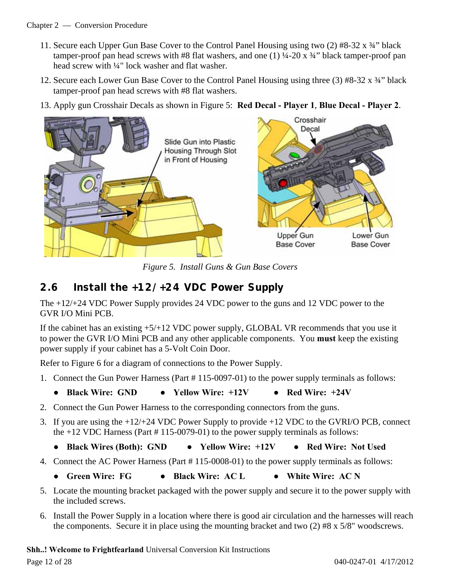- 11. Secure each Upper Gun Base Cover to the Control Panel Housing using two (2)  $#8-32 \times 34$ " black tamper-proof pan head screws with #8 flat washers, and one  $(1)$  ¼-20 x ¼" black tamper-proof pan head screw with ¼" lock washer and flat washer.
- 12. Secure each Lower Gun Base Cover to the Control Panel Housing using three (3) #8-32 x ¾" black tamper-proof pan head screws with #8 flat washers.
- 13. Apply gun Crosshair Decals as shown in Figure 5: **Red Decal Player 1**, **Blue Decal Player 2**.



*Figure 5. Install Guns & Gun Base Covers* 

## **2.6 Install the +12/+24 VDC Power Supply**

The +12/+24 VDC Power Supply provides 24 VDC power to the guns and 12 VDC power to the GVR I/O Mini PCB.

If the cabinet has an existing +5/+12 VDC power supply, GLOBAL VR recommends that you use it to power the GVR I/O Mini PCB and any other applicable components. You **must** keep the existing power supply if your cabinet has a 5-Volt Coin Door.

Refer to Figure 6 for a diagram of connections to the Power Supply.

- 1. Connect the Gun Power Harness (Part # 115-0097-01) to the power supply terminals as follows:
	- **● Black Wire: GND ● Yellow Wire: +12V ● Red Wire: +24V**
- 2. Connect the Gun Power Harness to the corresponding connectors from the guns.
- 3. If you are using the +12/+24 VDC Power Supply to provide +12 VDC to the GVRI/O PCB, connect the +12 VDC Harness (Part # 115-0079-01) to the power supply terminals as follows:
	- **● Black Wires (Both): GND ● Yellow Wire: +12V ● Red Wire: Not Used**
- 4. Connect the AC Power Harness (Part # 115-0008-01) to the power supply terminals as follows:
	- **● Green Wire: FG ● Black Wire: AC L ● White Wire: AC N**
- 5. Locate the mounting bracket packaged with the power supply and secure it to the power supply with the included screws.
- 6. Install the Power Supply in a location where there is good air circulation and the harnesses will reach the components. Secure it in place using the mounting bracket and two (2) #8 x 5/8" woodscrews.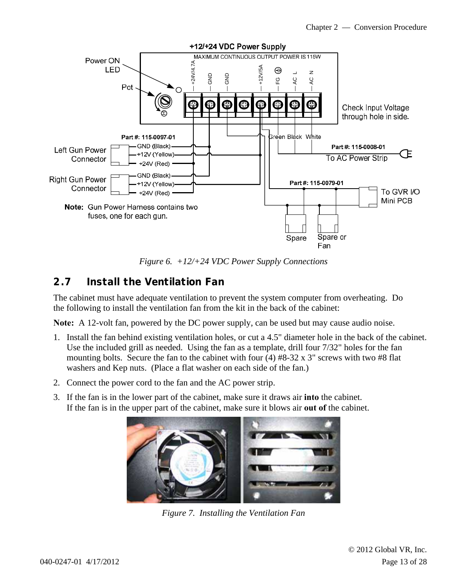

*Figure 6. +12/+24 VDC Power Supply Connections* 

## **2.7 Install the Ventilation Fan**

The cabinet must have adequate ventilation to prevent the system computer from overheating. Do the following to install the ventilation fan from the kit in the back of the cabinet:

**Note:** A 12-volt fan, powered by the DC power supply, can be used but may cause audio noise.

- 1. Install the fan behind existing ventilation holes, or cut a 4.5" diameter hole in the back of the cabinet. Use the included grill as needed. Using the fan as a template, drill four 7/32" holes for the fan mounting bolts. Secure the fan to the cabinet with four (4) #8-32 x 3" screws with two #8 flat washers and Kep nuts. (Place a flat washer on each side of the fan.)
- 2. Connect the power cord to the fan and the AC power strip.
- 3. If the fan is in the lower part of the cabinet, make sure it draws air **into** the cabinet. If the fan is in the upper part of the cabinet, make sure it blows air **out of** the cabinet.



*Figure 7. Installing the Ventilation Fan*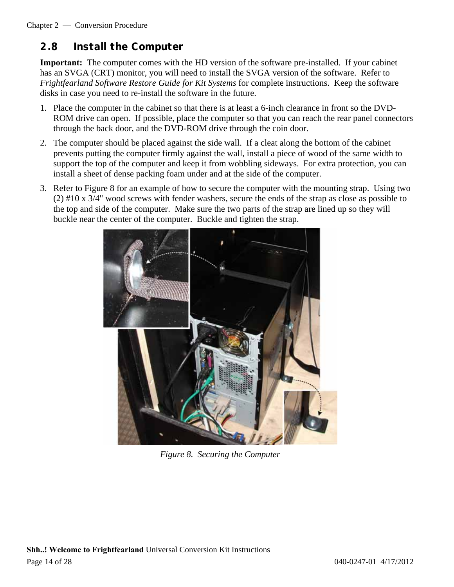## **2.8 Install the Computer**

**Important:** The computer comes with the HD version of the software pre-installed. If your cabinet has an SVGA (CRT) monitor, you will need to install the SVGA version of the software. Refer to *Frightfearland Software Restore Guide for Kit Systems* for complete instructions. Keep the software disks in case you need to re-install the software in the future.

- 1. Place the computer in the cabinet so that there is at least a 6-inch clearance in front so the DVD-ROM drive can open. If possible, place the computer so that you can reach the rear panel connectors through the back door, and the DVD-ROM drive through the coin door.
- 2. The computer should be placed against the side wall. If a cleat along the bottom of the cabinet prevents putting the computer firmly against the wall, install a piece of wood of the same width to support the top of the computer and keep it from wobbling sideways. For extra protection, you can install a sheet of dense packing foam under and at the side of the computer.
- 3. Refer to Figure 8 for an example of how to secure the computer with the mounting strap. Using two (2) #10 x 3/4" wood screws with fender washers, secure the ends of the strap as close as possible to the top and side of the computer. Make sure the two parts of the strap are lined up so they will buckle near the center of the computer. Buckle and tighten the strap.



*Figure 8. Securing the Computer*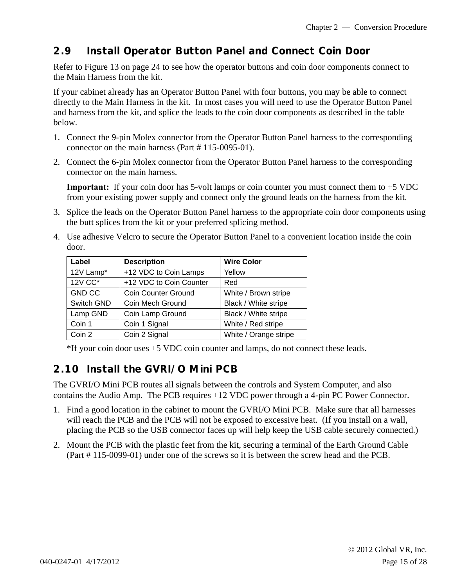## **2.9 Install Operator Button Panel and Connect Coin Door**

Refer to Figure 13 on page 24 to see how the operator buttons and coin door components connect to the Main Harness from the kit.

If your cabinet already has an Operator Button Panel with four buttons, you may be able to connect directly to the Main Harness in the kit. In most cases you will need to use the Operator Button Panel and harness from the kit, and splice the leads to the coin door components as described in the table below.

- 1. Connect the 9-pin Molex connector from the Operator Button Panel harness to the corresponding connector on the main harness (Part # 115-0095-01).
- 2. Connect the 6-pin Molex connector from the Operator Button Panel harness to the corresponding connector on the main harness.

**Important:** If your coin door has 5-volt lamps or coin counter you must connect them to  $+5$  VDC from your existing power supply and connect only the ground leads on the harness from the kit.

- 3. Splice the leads on the Operator Button Panel harness to the appropriate coin door components using the butt splices from the kit or your preferred splicing method.
- 4. Use adhesive Velcro to secure the Operator Button Panel to a convenient location inside the coin door.

| Label         | <b>Description</b>         | <b>Wire Color</b>     |
|---------------|----------------------------|-----------------------|
| 12V Lamp*     | +12 VDC to Coin Lamps      | Yellow                |
| 12V CC*       | +12 VDC to Coin Counter    | Red                   |
| <b>GND CC</b> | <b>Coin Counter Ground</b> | White / Brown stripe  |
| Switch GND    | Coin Mech Ground           | Black / White stripe  |
| Lamp GND      | Coin Lamp Ground           | Black / White stripe  |
| Coin 1        | Coin 1 Signal              | White / Red stripe    |
| Coin 2        | Coin 2 Signal              | White / Orange stripe |

\*If your coin door uses +5 VDC coin counter and lamps, do not connect these leads.

### **2.10 Install the GVRI/O Mini PCB**

The GVRI/O Mini PCB routes all signals between the controls and System Computer, and also contains the Audio Amp. The PCB requires +12 VDC power through a 4-pin PC Power Connector.

- 1. Find a good location in the cabinet to mount the GVRI/O Mini PCB. Make sure that all harnesses will reach the PCB and the PCB will not be exposed to excessive heat. (If you install on a wall, placing the PCB so the USB connector faces up will help keep the USB cable securely connected.)
- 2. Mount the PCB with the plastic feet from the kit, securing a terminal of the Earth Ground Cable (Part # 115-0099-01) under one of the screws so it is between the screw head and the PCB.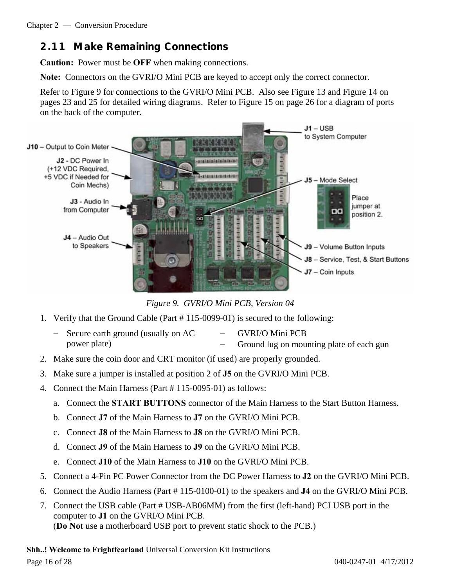## **2.11 Make Remaining Connections**

**Caution:** Power must be **OFF** when making connections.

**Note:** Connectors on the GVRI/O Mini PCB are keyed to accept only the correct connector.

Refer to Figure 9 for connections to the GVRI/O Mini PCB. Also see Figure 13 and Figure 14 on pages 23 and 25 for detailed wiring diagrams. Refer to Figure 15 on page 26 for a diagram of ports on the back of the computer.



*Figure 9. GVRI/O Mini PCB, Version 04* 

- 1. Verify that the Ground Cable (Part # 115-0099-01) is secured to the following:
	- Secure earth ground (usually on AC power plate) − GVRI/O Mini PCB − Ground lug on mounting plate of each gun
- 2. Make sure the coin door and CRT monitor (if used) are properly grounded.
- 3. Make sure a jumper is installed at position 2 of **J5** on the GVRI/O Mini PCB.
- 4. Connect the Main Harness (Part # 115-0095-01) as follows:
	- a. Connect the **START BUTTONS** connector of the Main Harness to the Start Button Harness.
	- b. Connect **J7** of the Main Harness to **J7** on the GVRI/O Mini PCB.
	- c. Connect **J8** of the Main Harness to **J8** on the GVRI/O Mini PCB.
	- d. Connect **J9** of the Main Harness to **J9** on the GVRI/O Mini PCB.
	- e. Connect **J10** of the Main Harness to **J10** on the GVRI/O Mini PCB.
- 5. Connect a 4-Pin PC Power Connector from the DC Power Harness to **J2** on the GVRI/O Mini PCB.
- 6. Connect the Audio Harness (Part # 115-0100-01) to the speakers and **J4** on the GVRI/O Mini PCB.
- 7. Connect the USB cable (Part # USB-AB06MM) from the first (left-hand) PCI USB port in the computer to **J1** on the GVRI/O Mini PCB. (**Do Not** use a motherboard USB port to prevent static shock to the PCB.)

**Shh..! Welcome to Frightfearland** Universal Conversion Kit Instructions Page 16 of 28 040-0247-01 4/17/2012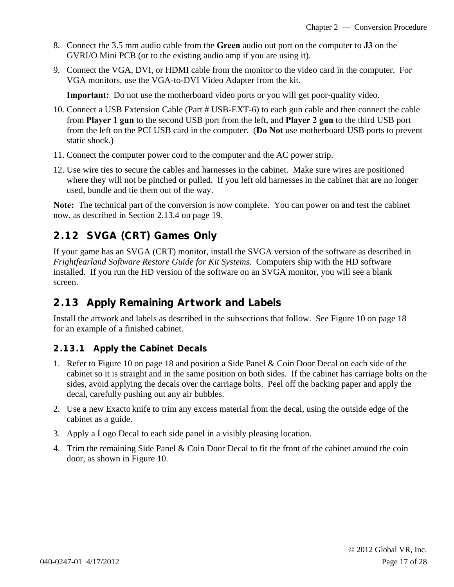- 8. Connect the 3.5 mm audio cable from the **Green** audio out port on the computer to **J3** on the GVRI/O Mini PCB (or to the existing audio amp if you are using it).
- 9. Connect the VGA, DVI, or HDMI cable from the monitor to the video card in the computer. For VGA monitors, use the VGA-to-DVI Video Adapter from the kit.

**Important:** Do not use the motherboard video ports or you will get poor-quality video.

- 10. Connect a USB Extension Cable (Part # USB-EXT-6) to each gun cable and then connect the cable from **Player 1 gun** to the second USB port from the left, and **Player 2 gun** to the third USB port from the left on the PCI USB card in the computer. (**Do Not** use motherboard USB ports to prevent static shock.)
- 11. Connect the computer power cord to the computer and the AC power strip.
- 12. Use wire ties to secure the cables and harnesses in the cabinet. Make sure wires are positioned where they will not be pinched or pulled. If you left old harnesses in the cabinet that are no longer used, bundle and tie them out of the way.

**Note:** The technical part of the conversion is now complete. You can power on and test the cabinet now, as described in Section 2.13.4 on page 19.

## **2.12 SVGA (CRT) Games Only**

If your game has an SVGA (CRT) monitor, install the SVGA version of the software as described in *Frightfearland Software Restore Guide for Kit Systems*. Computers ship with the HD software installed. If you run the HD version of the software on an SVGA monitor, you will see a blank screen.

### **2.13 Apply Remaining Artwork and Labels**

Install the artwork and labels as described in the subsections that follow. See Figure 10 on page 18 for an example of a finished cabinet.

#### **2.13.1 Apply the Cabinet Decals**

- 1. Refer to Figure 10 on page 18 and position a Side Panel & Coin Door Decal on each side of the cabinet so it is straight and in the same position on both sides. If the cabinet has carriage bolts on the sides, avoid applying the decals over the carriage bolts. Peel off the backing paper and apply the decal, carefully pushing out any air bubbles.
- 2. Use a new Exacto knife to trim any excess material from the decal, using the outside edge of the cabinet as a guide.
- 3. Apply a Logo Decal to each side panel in a visibly pleasing location.
- 4. Trim the remaining Side Panel & Coin Door Decal to fit the front of the cabinet around the coin door, as shown in Figure 10.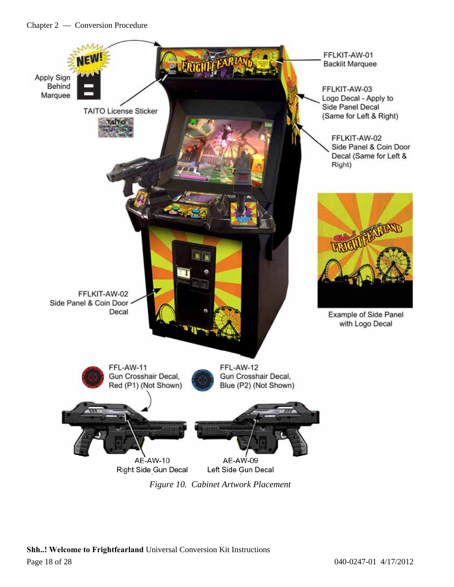

**Shh..! Welcome to Frightfearland** Universal Conversion Kit Instructions Page 18 of 28 040-0247-01 4/17/2012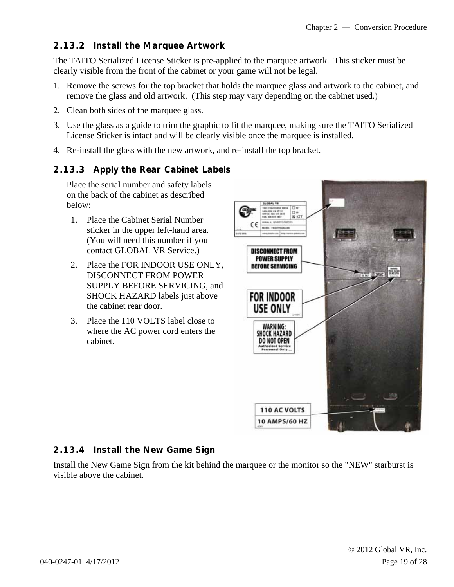#### **2.13.2 Install the Marquee Artwork**

The TAITO Serialized License Sticker is pre-applied to the marquee artwork. This sticker must be clearly visible from the front of the cabinet or your game will not be legal.

- 1. Remove the screws for the top bracket that holds the marquee glass and artwork to the cabinet, and remove the glass and old artwork. (This step may vary depending on the cabinet used.)
- 2. Clean both sides of the marquee glass.
- 3. Use the glass as a guide to trim the graphic to fit the marquee, making sure the TAITO Serialized License Sticker is intact and will be clearly visible once the marquee is installed.
- 4. Re-install the glass with the new artwork, and re-install the top bracket.

#### **2.13.3 Apply the Rear Cabinet Labels**

Place the serial number and safety labels on the back of the cabinet as described below:

- 1. Place the Cabinet Serial Number sticker in the upper left-hand area. (You will need this number if you contact GLOBAL VR Service.)
- 2. Place the FOR INDOOR USE ONLY, DISCONNECT FROM POWER SUPPLY BEFORE SERVICING, and SHOCK HAZARD labels just above the cabinet rear door.
- 3. Place the 110 VOLTS label close to where the AC power cord enters the cabinet.



#### **2.13.4 Install the New Game Sign**

Install the New Game Sign from the kit behind the marquee or the monitor so the "NEW" starburst is visible above the cabinet.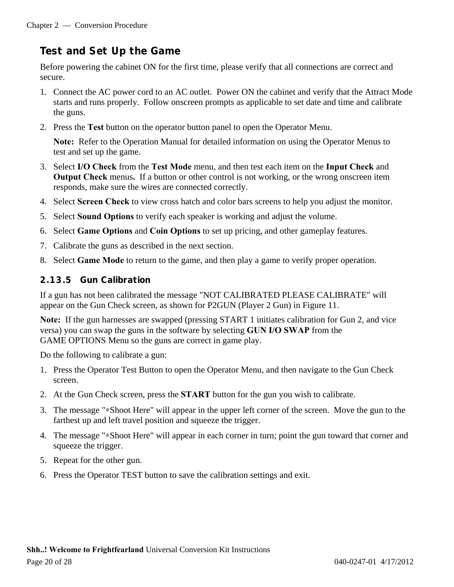## **Test and Set Up the Game**

Before powering the cabinet ON for the first time, please verify that all connections are correct and secure.

- 1. Connect the AC power cord to an AC outlet. Power ON the cabinet and verify that the Attract Mode starts and runs properly. Follow onscreen prompts as applicable to set date and time and calibrate the guns.
- 2. Press the **Test** button on the operator button panel to open the Operator Menu.

**Note:** Refer to the Operation Manual for detailed information on using the Operator Menus to test and set up the game.

- 3. Select **I/O Check** from the **Test Mode** menu, and then test each item on the **Input Check** and **Output Check** menus**.** If a button or other control is not working, or the wrong onscreen item responds, make sure the wires are connected correctly.
- 4. Select **Screen Check** to view cross hatch and color bars screens to help you adjust the monitor.
- 5. Select **Sound Options** to verify each speaker is working and adjust the volume.
- 6. Select **Game Options** and **Coin Options** to set up pricing, and other gameplay features.
- 7. Calibrate the guns as described in the next section.
- 8. Select **Game Mode** to return to the game, and then play a game to verify proper operation.

#### **2.13.5 Gun Calibration**

If a gun has not been calibrated the message "NOT CALIBRATED PLEASE CALIBRATE" will appear on the Gun Check screen, as shown for P2GUN (Player 2 Gun) in Figure 11.

**Note:** If the gun harnesses are swapped (pressing START 1 initiates calibration for Gun 2, and vice versa) you can swap the guns in the software by selecting **GUN I/O SWAP** from the GAME OPTIONS Menu so the guns are correct in game play.

Do the following to calibrate a gun:

- 1. Press the Operator Test Button to open the Operator Menu, and then navigate to the Gun Check screen.
- 2. At the Gun Check screen, press the **START** button for the gun you wish to calibrate.
- 3. The message "∗Shoot Here" will appear in the upper left corner of the screen. Move the gun to the farthest up and left travel position and squeeze the trigger.
- 4. The message "∗Shoot Here" will appear in each corner in turn; point the gun toward that corner and squeeze the trigger.
- 5. Repeat for the other gun.
- 6. Press the Operator TEST button to save the calibration settings and exit.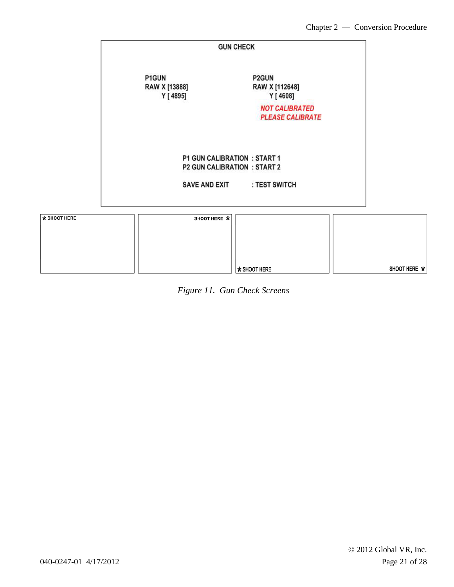|              | <b>GUN CHECK</b>                   |                                                                     |  |  |  |  |
|--------------|------------------------------------|---------------------------------------------------------------------|--|--|--|--|
|              | P1GUN<br>RAW X [13888]<br>Y [4895] | P2GUN<br>RAW X [112648]<br>Y [ 4608]                                |  |  |  |  |
|              |                                    | <b>NOT CALIBRATED</b><br><b>PLEASE CALIBRATE</b>                    |  |  |  |  |
|              |                                    | P1 GUN CALIBRATION : START 1<br><b>P2 GUN CALIBRATION : START 2</b> |  |  |  |  |
|              |                                    | SAVE AND EXIT : TEST SWITCH                                         |  |  |  |  |
| * SHOOT HERE | SHOOT HERE *                       |                                                                     |  |  |  |  |

|  | Figure 11. Gun Check Screens |
|--|------------------------------|
|  |                              |

\* SHOOT HERE

SHOOT HERE  $\, {\color{red}\star}$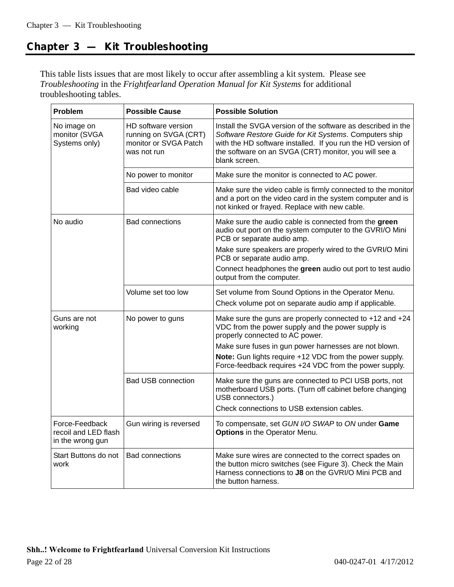## **Chapter 3 — Kit Troubleshooting**

This table lists issues that are most likely to occur after assembling a kit system. Please see *Troubleshooting* in the *Frightfearland Operation Manual for Kit Systems* for additional troubleshooting tables.

| Problem                                                    | <b>Possible Cause</b>                                                                | <b>Possible Solution</b>                                                                                                                                                                                                                                                                                                            |  |
|------------------------------------------------------------|--------------------------------------------------------------------------------------|-------------------------------------------------------------------------------------------------------------------------------------------------------------------------------------------------------------------------------------------------------------------------------------------------------------------------------------|--|
| No image on<br>monitor (SVGA<br>Systems only)              | HD software version<br>running on SVGA (CRT)<br>monitor or SVGA Patch<br>was not run | Install the SVGA version of the software as described in the<br>Software Restore Guide for Kit Systems. Computers ship<br>with the HD software installed. If you run the HD version of<br>the software on an SVGA (CRT) monitor, you will see a<br>blank screen.                                                                    |  |
|                                                            | No power to monitor                                                                  | Make sure the monitor is connected to AC power.                                                                                                                                                                                                                                                                                     |  |
|                                                            | Bad video cable                                                                      | Make sure the video cable is firmly connected to the monitor<br>and a port on the video card in the system computer and is<br>not kinked or frayed. Replace with new cable.                                                                                                                                                         |  |
| No audio                                                   | <b>Bad connections</b>                                                               | Make sure the audio cable is connected from the green<br>audio out port on the system computer to the GVRI/O Mini<br>PCB or separate audio amp.<br>Make sure speakers are properly wired to the GVRI/O Mini<br>PCB or separate audio amp.<br>Connect headphones the green audio out port to test audio<br>output from the computer. |  |
|                                                            | Volume set too low                                                                   | Set volume from Sound Options in the Operator Menu.<br>Check volume pot on separate audio amp if applicable.                                                                                                                                                                                                                        |  |
| Guns are not<br>working                                    | No power to guns                                                                     | Make sure the guns are properly connected to +12 and +24<br>VDC from the power supply and the power supply is<br>properly connected to AC power.<br>Make sure fuses in gun power harnesses are not blown.<br>Note: Gun lights require +12 VDC from the power supply.<br>Force-feedback requires +24 VDC from the power supply.      |  |
|                                                            | <b>Bad USB connection</b>                                                            | Make sure the guns are connected to PCI USB ports, not<br>motherboard USB ports. (Turn off cabinet before changing<br>USB connectors.)<br>Check connections to USB extension cables.                                                                                                                                                |  |
| Force-Feedback<br>recoil and LED flash<br>in the wrong gun | Gun wiring is reversed                                                               | To compensate, set GUN I/O SWAP to ON under Game<br>Options in the Operator Menu.                                                                                                                                                                                                                                                   |  |
| Start Buttons do not<br>work                               | <b>Bad connections</b>                                                               | Make sure wires are connected to the correct spades on<br>the button micro switches (see Figure 3). Check the Main<br>Harness connections to J8 on the GVRI/O Mini PCB and<br>the button harness.                                                                                                                                   |  |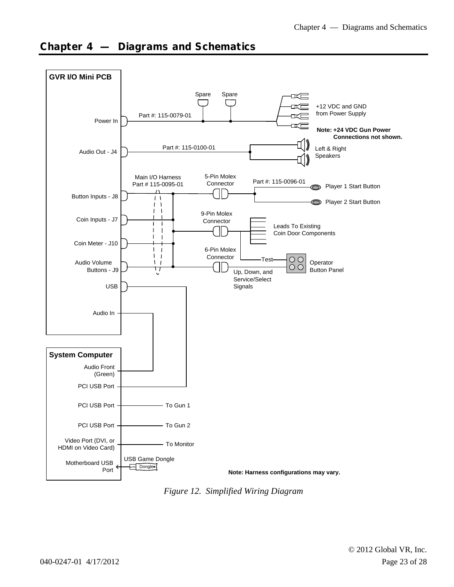

### **Chapter 4 — Diagrams and Schematics**

*Figure 12. Simplified Wiring Diagram*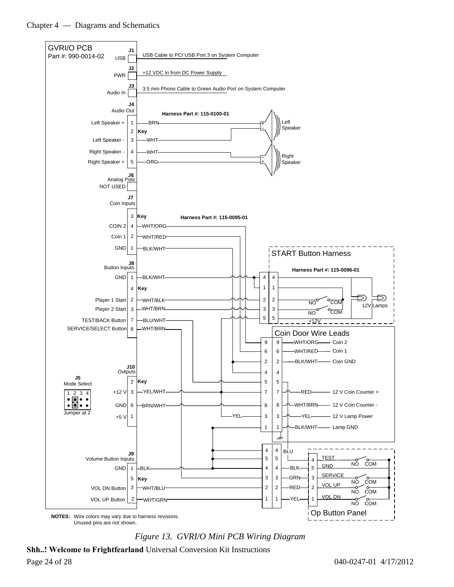

*Figure 13. GVRI/O Mini PCB Wiring Diagram* 

**Shh..! Welcome to Frightfearland** Universal Conversion Kit Instructions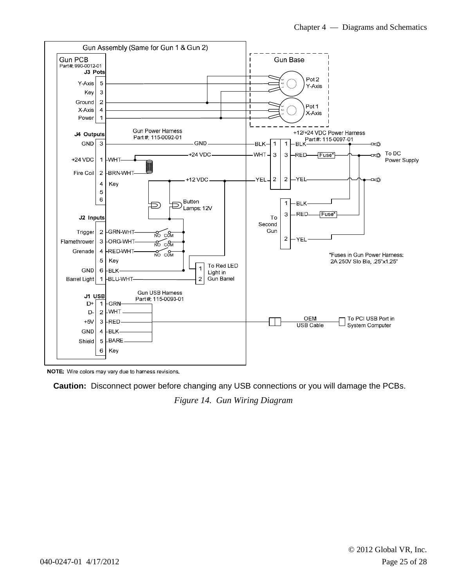

NOTE: Wire colors may vary due to harness revisions.

**Caution:** Disconnect power before changing any USB connections or you will damage the PCBs.

*Figure 14. Gun Wiring Diagram*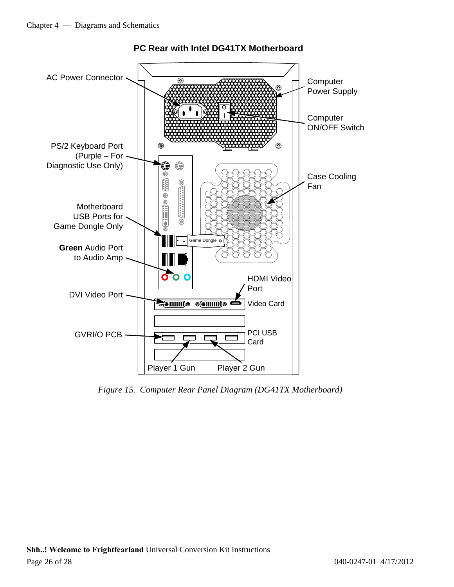

#### **PC Rear with Intel DG41TX Motherboard**

*Figure 15. Computer Rear Panel Diagram (DG41TX Motherboard)*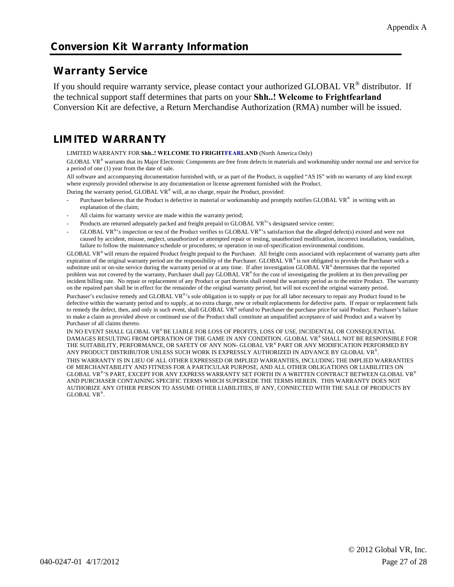### **Conversion Kit Warranty Information**

### **Warranty Service**

If you should require warranty service, please contact your authorized GLOBAL VR<sup>®</sup> distributor. If the technical support staff determines that parts on your **Shh..! Welcome to Frightfearland** Conversion Kit are defective, a Return Merchandise Authorization (RMA) number will be issued.

## **LIMITED WARRANTY**

LIMITED WARRANTY FOR **Shh..! WELCOME TO FRIGHTFEARLAND** (North America Only)

GLOBAL VR® warrants that its Major Electronic Components are free from defects in materials and workmanship under normal use and service for a period of one (1) year from the date of sale.

All software and accompanying documentation furnished with, or as part of the Product, is supplied "AS IS" with no warranty of any kind except where expressly provided otherwise in any documentation or license agreement furnished with the Product.

During the warranty period, GLOBAL VR® will, at no charge, repair the Product, provided:

- Purchaser believes that the Product is defective in material or workmanship and promptly notifies GLOBAL VR® in writing with an explanation of the claim;
- All claims for warranty service are made within the warranty period;
- Products are returned adequately packed and freight prepaid to GLOBAL VR®'s designated service center;
- GLOBAL VR®'s inspection or test of the Product verifies to GLOBAL VR®'s satisfaction that the alleged defect(s) existed and were not caused by accident, misuse, neglect, unauthorized or attempted repair or testing, unauthorized modification, incorrect installation, vandalism, failure to follow the maintenance schedule or procedures; or operation in out-of-specification environmental conditions.

GLOBAL VR® will return the repaired Product freight prepaid to the Purchaser. All freight costs associated with replacement of warranty parts after expiration of the original warranty period are the responsibility of the Purchaser. GLOBAL VR® is not obligated to provide the Purchaser with a substitute unit or on-site service during the warranty period or at any time. If after investigation GLOBAL VR® determines that the reported problem was not covered by the warranty, Purchaser shall pay GLOBAL VR® for the cost of investigating the problem at its then prevailing per incident billing rate. No repair or replacement of any Product or part therein shall extend the warranty period as to the entire Product. The warranty on the repaired part shall be in effect for the remainder of the original warranty period, but will not exceed the original warranty period. Purchaser's exclusive remedy and GLOBAL VR®'s sole obligation is to supply or pay for all labor necessary to repair any Product found to be defective within the warranty period and to supply, at no extra charge, new or rebuilt replacements for defective parts. If repair or replacement fails to remedy the defect, then, and only in such event, shall GLOBAL VR® refund to Purchaser the purchase price for said Product. Purchaser's failure to make a claim as provided above or continued use of the Product shall constitute an unqualified acceptance of said Product and a waiver by Purchaser of all claims thereto.

IN NO EVENT SHALL GLOBAL VR® BE LIABLE FOR LOSS OF PROFITS, LOSS OF USE, INCIDENTAL OR CONSEQUENTIAL DAMAGES RESULTING FROM OPERATION OF THE GAME IN ANY CONDITION. GLOBAL VR® SHALL NOT BE RESPONSIBLE FOR THE SUITABILITY, PERFORMANCE, OR SAFETY OF ANY NON- GLOBAL VR® PART OR ANY MODIFICATION PERFORMED BY ANY PRODUCT DISTRIBUTOR UNLESS SUCH WORK IS EXPRESSLY AUTHORIZED IN ADVANCE BY GLOBAL VR®.

THIS WARRANTY IS IN LIEU OF ALL OTHER EXPRESSED OR IMPLIED WARRANTIES, INCLUDING THE IMPLIED WARRANTIES OF MERCHANTABILITY AND FITNESS FOR A PARTICULAR PURPOSE, AND ALL OTHER OBLIGATIONS OR LIABILITIES ON GLOBAL VR®'S PART, EXCEPT FOR ANY EXPRESS WARRANTY SET FORTH IN A WRITTEN CONTRACT BETWEEN GLOBAL VR® AND PURCHASER CONTAINING SPECIFIC TERMS WHICH SUPERSEDE THE TERMS HEREIN. THIS WARRANTY DOES NOT AUTHORIZE ANY OTHER PERSON TO ASSUME OTHER LIABILITIES, IF ANY, CONNECTED WITH THE SALE OF PRODUCTS BY GLOBAL VR®.